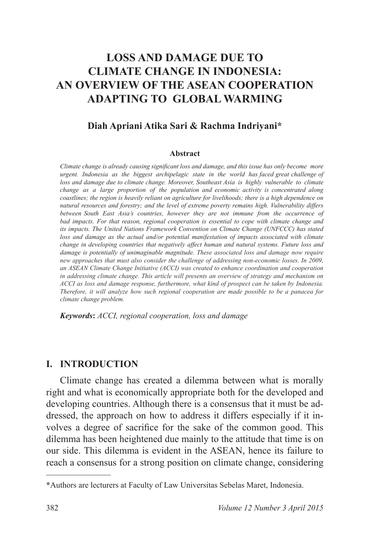# **LOSS AND DAMAGE DUE TO CLIMATE CHANGE IN INDONESIA: AN OVERVIEW OF THE ASEAN COOPERATION ADAPTING TO GLOBAL WARMING**

#### **Diah Apriani Atika Sari & Rachma Indriyani\***

#### **Abstract**

*Climate change is already causing significant loss and damage, and this issue has only become more urgent. Indonesia as the biggest archipelagic state in the world has faced great challenge of loss and damage due to climate change. Moreover, Southeast Asia is highly vulnerable to climate change as a large proportion of the population and economic activity is concentrated along coastlines; the region is heavily reliant on agriculture for livelihoods; there is a high dependence on natural resources and forestry; and the level of extreme poverty remains high. Vulnerability differs between South East Asia's countries, however they are not immune from the occurrence of bad impacts. For that reason, regional cooperation is essential to cope with climate change and its impacts. The United Nations Framework Convention on Climate Change (UNFCCC) has stated*  loss and damage as the actual and/or potential manifestation of impacts associated with climate *change in developing countries that negatively affect human and natural systems. Future loss and damage is potentially of unimaginable magnitude. These associated loss and damage now require new approaches that must also consider the challenge of addressing non-economic losses. In 2009, an ASEAN Climate Change Initiative (ACCI) was created to enhance coordination and cooperation in addressing climate change. This article will presents an overview of strategy and mechanism on ACCI as loss and damage response, furthermore, what kind of prospect can be taken by Indonesia. Therefore, it will analyze how such regional cooperation are made possible to be a panacea for climate change problem.*

*Keywords***:** *ACCI, regional cooperation, loss and damage*

#### **I. INTRODUCTION**

Climate change has created a dilemma between what is morally right and what is economically appropriate both for the developed and developing countries. Although there is a consensus that it must be addressed, the approach on how to address it differs especially if it involves a degree of sacrifice for the sake of the common good. This dilemma has been heightened due mainly to the attitude that time is on our side. This dilemma is evident in the ASEAN, hence its failure to reach a consensus for a strong position on climate change, considering

<sup>\*</sup>Authors are lecturers at Faculty of Law Universitas Sebelas Maret, Indonesia.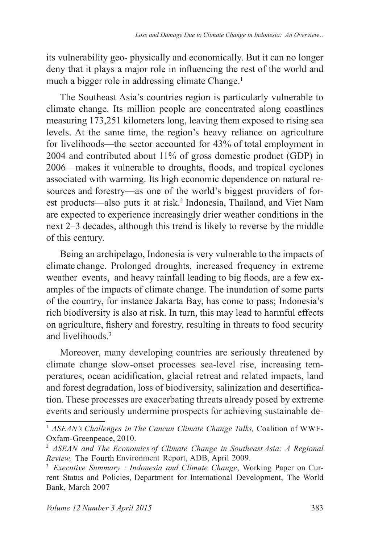its vulnerability geo- physically and economically. But it can no longer deny that it plays a major role in influencing the rest of the world and much a bigger role in addressing climate Change.<sup>1</sup>

The Southeast Asia's countries region is particularly vulnerable to climate change. Its million people are concentrated along coastlines measuring 173,251 kilometers long, leaving them exposed to rising sea levels. At the same time, the region's heavy reliance on agriculture for livelihoods—the sector accounted for  $43\%$  of total employment in  $2004$  and contributed about 11% of gross domestic product (GDP) in 2006—makes it vulnerable to droughts, floods, and tropical cyclones associated with warming. Its high economic dependence on natural resources and forestry—as one of the world's biggest providers of forest products—also puts it at risk.<sup>2</sup> Indonesia, Thailand, and Viet Nam are expected to experience increasingly drier weather conditions in the next 2–3 decades, although this trend is likely to reverse by the middle of this century.

Being an archipelago, Indonesia is very vulnerable to the impacts of climate change. Prolonged droughts, increased frequency in extreme weather events, and heavy rainfall leading to big floods, are a few examples of the impacts of climate change. The inundation of some parts of the country, for instance Jakarta Bay, has come to pass; Indonesia's rich biodiversity is also at risk. In turn, this may lead to harmful effects on agriculture, fishery and forestry, resulting in threats to food security and livelihoods<sup>3</sup>

Moreover, many developing countries are seriously threatened by climate change slow-onset processes–sea-level rise, increasing temperatures, ocean acidification, glacial retreat and related impacts, land and forest degradation, loss of biodiversity, salinization and desertification. These processes are exacerbating threats already posed by extreme events and seriously undermine prospects for achieving sustainable de-

<sup>&</sup>lt;sup>1</sup> ASEAN's Challenges in The Cancun Climate Change Talks, Coalition of WWF-Oxfam-Greenpeace, 2010.

 *ASEAN and The Economics of Climate Change in Southeast Asia: A Regional Review,* The Fourth Environment Report, ADB, April

<sup>3</sup> *Executive Summary : Indonesia and Climate Change*, Working Paper on Current Status and Policies, Department for International Development, The World Bank, March 2007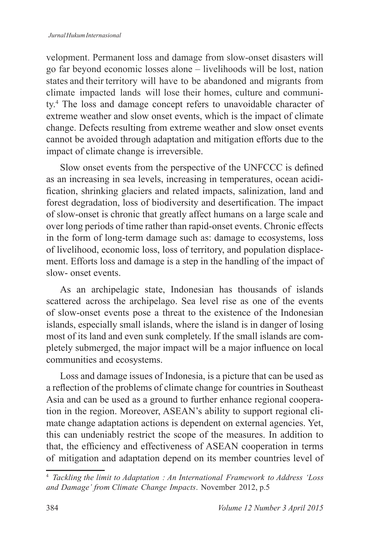velopment. Permanent loss and damage from slow-onset disasters will go far beyond economic losses alone – livelihoods will be lost, nation states and their territory will have to be abandoned and migrants from climate impacted lands will lose their homes, culture and community.<sup>4</sup> The loss and damage concept refers to unavoidable character of extreme weather and slow onset events, which is the impact of climate change. Defects resulting from extreme weather and slow onset events cannot be avoided through adaptation and mitigation efforts due to the impact of climate change is irreversible.

Slow onset events from the perspective of the UNFCCC is defined as an increasing in sea levels, increasing in temperatures, ocean acidification, shrinking glaciers and related impacts, salinization, land and forest degradation, loss of biodiversity and desertification. The impact of slow-onset is chronic that greatly affect humans on a large scale and over long periods of time rather than rapid-onset events. Chronic effects in the form of long-term damage such as: damage to ecosystems, loss of livelihood, economic loss, loss of territory, and population displacement. Efforts loss and damage is a step in the handling of the impact of slow- onset events.

As an archipelagic state, Indonesian has thousands of islands scattered across the archipelago. Sea level rise as one of the events of slow-onset events pose a threat to the existence of the Indonesian islands, especially small islands, where the island is in danger of losing most of its land and even sunk completely. If the small islands are completely submerged, the major impact will be a major influence on local communities and ecosystems.

Loss and damage issues of Indonesia, is a picture that can be used as a reflection of the problems of climate change for countries in Southeast Asia and can be used as a ground to further enhance regional cooperation in the region. Moreover, ASEAN's ability to support regional climate change adaptation actions is dependent on external agencies. Yet, this can undeniably restrict the scope of the measures. In addition to that, the efficiency and effectiveness of ASEAN cooperation in terms of mitigation and adaptation depend on its member countries level of

<sup>4</sup> *Tackling the limit to Adaptation : An International Framework to Address 'Loss*  and Damage' from Climate Change Impacts. November 2012, p.5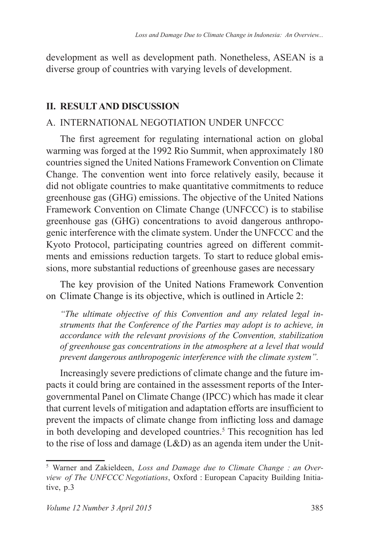development as well as development path. Nonetheless, ASEAN is a diverse group of countries with varying levels of development.

# **II. RESULT AND DISCUSSION**

# A. INTERNATIONAL NEGOTIATION UNDER UNFCCC

The first agreement for regulating international action on global warming was forged at the 1992 Rio Summit, when approximately 180 countries signed the United Nations Framework Convention on Climate Change. The convention went into force relatively easily, because it did not obligate countries to make quantitative commitments to reduce greenhouse gas (GHG) emissions. The objective of the United Nations Framework Convention on Climate Change (UNFCCC) is to stabilise greenhouse gas (GHG) concentrations to avoid dangerous anthropogenic interference with the climate system. Under the UNFCCC and the Kyoto Protocol, participating countries agreed on different commitments and emissions reduction targets. To start to reduce global emissions, more substantial reductions of greenhouse gases are necessary

The key provision of the United Nations Framework Convention on Climate Change is its objective, which is outlined in Article 2:

*"The ultimate objective of this Convention and any related legal instruments that the Conference of the Parties may adopt is to achieve, in accordance with the relevant provisions of the Convention, stabilization of greenhouse gas concentrations in the atmosphere at a level that would prevent dangerous anthropogenic interference with the climate system".*

Increasingly severe predictions of climate change and the future impacts it could bring are contained in the assessment reports of the Intergovernmental Panel on Climate Change (IPCC) which has made it clear that current levels of mitigation and adaptation efforts are insufficient to prevent the impacts of climate change from inflicting loss and damage in both developing and developed countries.<sup>5</sup> This recognition has led to the rise of loss and damage (L&D) as an agenda item under the Unit-

 Warner and Zakieldeen, *Loss and Damage due to Climate Change : an Overview of The UNFCCC Negotiations*, Oxford : European Capacity Building Initiative, p.3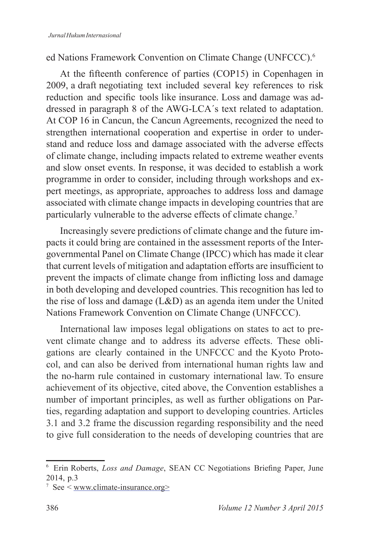### ed Nations Framework Convention on Climate Change (UNFCCC).

At the fifteenth conference of parties (COP15) in Copenhagen in 2009, a draft negotiating text included several key references to risk reduction and specific tools like insurance. Loss and damage was addressed in paragraph 8 of the AWG-LCA's text related to adaptation. At COP 16 in Cancun, the Cancun Agreements, recognized the need to strengthen international cooperation and expertise in order to understand and reduce loss and damage associated with the adverse effects of climate change, including impacts related to extreme weather events and slow onset events. In response, it was decided to establish a work programme in order to consider, including through workshops and expert meetings, as appropriate, approaches to address loss and damage associated with climate change impacts in developing countries that are particularly vulnerable to the adverse effects of climate change.<sup>7</sup>

Increasingly severe predictions of climate change and the future impacts it could bring are contained in the assessment reports of the Intergovernmental Panel on Climate Change (IPCC) which has made it clear that current levels of mitigation and adaptation efforts are insufficient to prevent the impacts of climate change from inflicting loss and damage in both developing and developed countries. This recognition has led to the rise of loss and damage (L&D) as an agenda item under the United Nations Framework Convention on Climate Change (UNFCCC).

International law imposes legal obligations on states to act to prevent climate change and to address its adverse effects. These obligations are clearly contained in the UNFCCC and the Kyoto Protocol, and can also be derived from international human rights law and the no-harm rule contained in customary international law. To ensure achievement of its objective, cited above, the Convention establishes a number of important principles, as well as further obligations on Parties, regarding adaptation and support to developing countries. Articles 3.1 and 3.2 frame the discussion regarding responsibility and the need to give full consideration to the needs of developing countries that are

<sup>&</sup>lt;sup>6</sup> Erin Roberts, *Loss and Damage*, SEAN CC Negotiations Briefing Paper, June 2014, p.3

<sup>&</sup>lt;sup>7</sup> See < www.climate-insurance.org>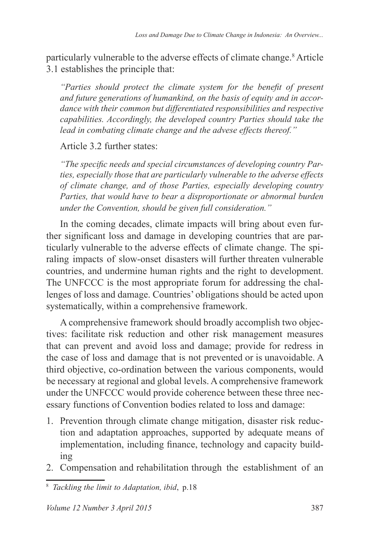particularly vulnerable to the adverse effects of climate change.<sup>8</sup> Article 3.1 establishes the principle that:

*<sup>"</sup>Parties should protect the climate system for the benefit of present and future generations of humankind, on the basis of equity and in accordance with their common but differentiated responsibilities and respective capabilities. Accordingly, the developed country Parties should take the lead in combating climate change and the advese effects thereof."*

# Article 3.2 further states:

*The specific needs and special circumstances of developing country Parties, especially those that are particularly vulnerable to the adverse effects of climate change, and of those Parties, especially developing country Parties, that would have to bear a disproportionate or abnormal burden under the Convention, should be given full consideration."*

In the coming decades, climate impacts will bring about even further significant loss and damage in developing countries that are particularly vulnerable to the adverse effects of climate change. The spiraling impacts of slow-onset disasters will further threaten vulnerable countries, and undermine human rights and the right to development. The UNFCCC is the most appropriate forum for addressing the challenges of loss and damage. Countries' obligations should be acted upon systematically, within a comprehensive framework.

A comprehensive framework should broadly accomplish two objectives: facilitate risk reduction and other risk management measures that can prevent and avoid loss and damage; provide for redress in the case of loss and damage that is not prevented or is unavoidable. A third objective, co-ordination between the various components, would be necessary at regional and global levels. A comprehensive framework under the UNFCCC would provide coherence between these three necessary functions of Convention bodies related to loss and damage:

- 1. Prevention through climate change mitigation, disaster risk reduction and adaptation approaches, supported by adequate means of implementation, including finance, technology and capacity building
- 2. Compensation and rehabilitation through the establishment of an

<sup>&</sup>lt;sup>8</sup> Tackling the limit to Adaptation, ibid, p.18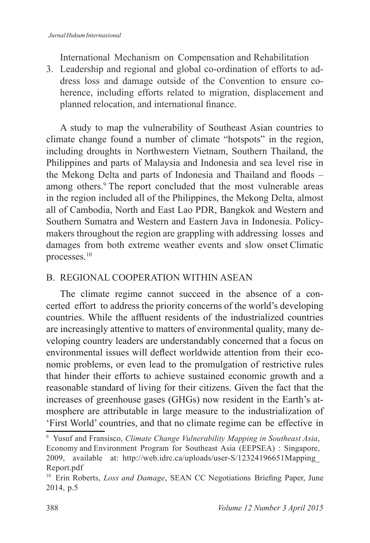International Mechanism on Compensation and Rehabilitation

3. Leadership and regional and global co-ordination of efforts to address loss and damage outside of the Convention to ensure coherence, including efforts related to migration, displacement and planned relocation, and international finance.

A study to map the vulnerability of Southeast Asian countries to climate change found a number of climate "hotspots" in the region, including droughts in Northwestern Vietnam, Southern Thailand, the Philippines and parts of Malaysia and Indonesia and sea level rise in the Mekong Delta and parts of Indonesia and Thailand and floods – among others.<sup>9</sup> The report concluded that the most vulnerable areas in the region included all of the Philippines, the Mekong Delta, almost all of Cambodia, North and East Lao PDR, Bangkok and Western and Southern Sumatra and Western and Eastern Java in Indonesia. Policymakers throughout the region are grappling with addressing losses and damages from both extreme weather events and slow onset Climatic processes.<sup>10</sup>

# B. REGIONAL COOPERATION WITHIN ASEAN

The climate regime cannot succeed in the absence of a concerted effort to address the priority concerns of the world's developing countries. While the affluent residents of the industrialized countries are increasingly attentive to matters of environmental quality, many developing country leaders are understandably concerned that a focus on environmental issues will deflect worldwide attention from their economic problems, or even lead to the promulgation of restrictive rules that hinder their efforts to achieve sustained economic growth and a reasonable standard of living for their citizens. Given the fact that the increases of greenhouse gases (GHGs) now resident in the Earth's atmosphere are attributable in large measure to the industrialization of 'First World' countries, and that no climate regime can be effective in

9 Yusuf and Fransisco, *Climate Change Vulnerability Mapping in Southeast Asia*, Economy and Environment Program for Southeast Asia (EEPSEA) : Singapore, 2009, available at: http://web.idrc.ca/uploads/user-S/12324196651Mapping Report.pdf

<sup>&</sup>lt;sup>10</sup> Erin Roberts, *Loss and Damage*, SEAN CC Negotiations Briefing Paper, June 2014, p.5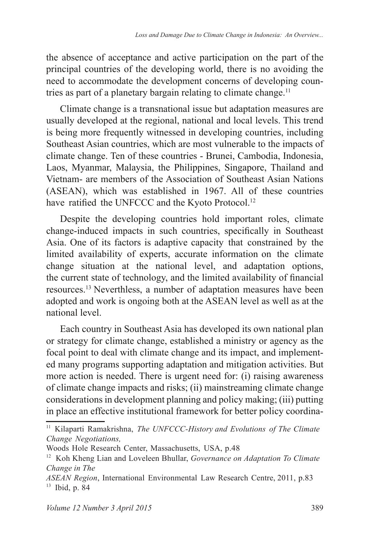the absence of acceptance and active participation on the part of the principal countries of the developing world, there is no avoiding the need to accommodate the development concerns of developing countries as part of a planetary bargain relating to climate change.<sup>11</sup>

Climate change is a transnational issue but adaptation measures are usually developed at the regional, national and local levels. This trend is being more frequently witnessed in developing countries, including Southeast Asian countries, which are most vulnerable to the impacts of climate change. Ten of these countries - Brunei, Cambodia, Indonesia, Laos, Myanmar, Malaysia, the Philippines, Singapore, Thailand and Vietnam- are members of the Association of Southeast Asian Nations  $(ASEAN)$ , which was established in 1967. All of these countries have ratified the UNFCCC and the Kyoto Protocol.<sup>12</sup>

Despite the developing countries hold important roles, climate change-induced impacts in such countries, specifically in Southeast Asia. One of its factors is adaptive capacity that constrained by the limited availability of experts, accurate information on the climate change situation at the national level, and adaptation options, the current state of technology, and the limited availability of financial resources.<sup>13</sup> Neverthless, a number of adaptation measures have been adopted and work is ongoing both at the ASEAN level as well as at the national level.

Each country in Southeast Asia has developed its own national plan or strategy for climate change, established a ministry or agency as the focal point to deal with climate change and its impact, and implemented many programs supporting adaptation and mitigation activities. But more action is needed. There is urgent need for: (i) raising awareness of climate change impacts and risks; (ii) mainstreaming climate change considerations in development planning and policy making; (iii) putting in place an effective institutional framework for better policy coordina-

<sup>&</sup>lt;sup>11</sup> Kilaparti Ramakrishna, *The UNFCCC-History and Evolutions of The Climate Change Negotiations,*

Woods Hole Research Center, Massachusetts, USA, p.48

<sup>&</sup>lt;sup>12</sup> Koh Kheng Lian and Loveleen Bhullar, *Governance on Adaptation To Climate Change in The*

*ASEAN Region*, International Environmental Law Research Centre, 2011, p.83  $13$  Ibid, p. 84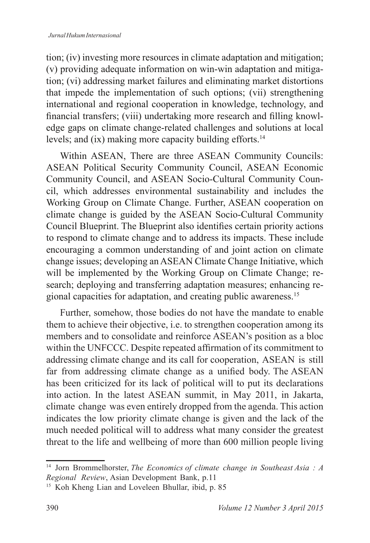tion; (iv) investing more resources in climate adaptation and mitigation; (v) providing adequate information on win-win adaptation and mitigation; (vi) addressing market failures and eliminating market distortions that impede the implementation of such options; (vii) strengthening international and regional cooperation in knowledge, technology, and financial transfers; (viii) undertaking more research and filling knowledge gaps on climate change-related challenges and solutions at local levels; and (ix) making more capacity building efforts.<sup>14</sup>

Within ASEAN, There are three ASEAN Community Councils: ASEAN Political Security Community Council, ASEAN Economic Community Council, and ASEAN Socio-Cultural Community Council, which addresses environmental sustainability and includes the Working Group on Climate Change. Further, ASEAN cooperation on climate change is guided by the ASEAN Socio-Cultural Community Council Blueprint. The Blueprint also identifies certain priority actions to respond to climate change and to address its impacts. These include encouraging a common understanding of and joint action on climate change issues; developing an ASEAN Climate Change Initiative, which will be implemented by the Working Group on Climate Change; research; deploying and transferring adaptation measures; enhancing regional capacities for adaptation, and creating public awareness.

Further, somehow, those bodies do not have the mandate to enable them to achieve their objective, i.e. to strengthen cooperation among its members and to consolidate and reinforce ASEAN's position as a bloc within the UNFCCC. Despite repeated affirmation of its commitment to addressing climate change and its call for cooperation, ASEAN is still far from addressing climate change as a unified body. The ASEAN has been criticized for its lack of political will to put its declarations into action. In the latest ASEAN summit, in May 2011, in Jakarta, climate change was even entirely dropped from the agenda. This action indicates the low priority climate change is given and the lack of the much needed political will to address what many consider the greatest threat to the life and wellbeing of more than 600 million people living

<sup>14</sup> Jorn Brommelhorster, *The Economics of climate change in Southeast Asia : A Regional Review*, Asian Development Bank, p.11

<sup>&</sup>lt;sup>15</sup> Koh Kheng Lian and Loveleen Bhullar, ibid, p. 85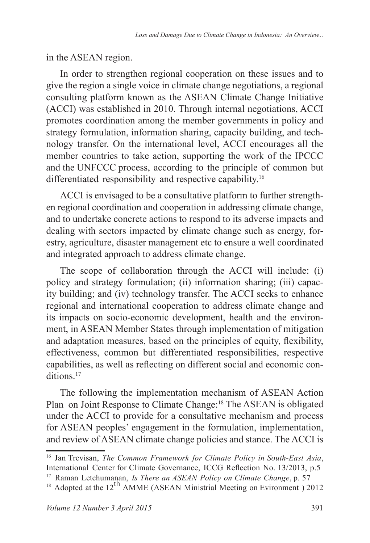in the ASEAN region.

In order to strengthen regional cooperation on these issues and to give the region a single voice in climate change negotiations, a regional consulting platform known as the ASEAN Climate Change Initiative  $(ACCI)$  was established in 2010. Through internal negotiations, ACCI promotes coordination among the member governments in policy and strategy formulation, information sharing, capacity building, and technology transfer. On the international level, ACCI encourages all the member countries to take action, supporting the work of the IPCCC and the UNFCCC process, according to the principle of common but differentiated responsibility and respective capability.<sup>16</sup>

ACCI is envisaged to be a consultative platform to further strengthen regional coordination and cooperation in addressing climate change, and to undertake concrete actions to respond to its adverse impacts and dealing with sectors impacted by climate change such as energy, forestry, agriculture, disaster management etc to ensure a well coordinated and integrated approach to address climate change.

The scope of collaboration through the ACCI will include: (i) policy and strategy formulation; (ii) information sharing; (iii) capacity building; and (iv) technology transfer. The ACCI seeks to enhance regional and international cooperation to address climate change and its impacts on socio-economic development, health and the environment, in ASEAN Member States through implementation of mitigation and adaptation measures, based on the principles of equity, flexibility, effectiveness, common but differentiated responsibilities, respective capabilities, as well as reflecting on different social and economic conditions.<sup>17</sup>

The following the implementation mechanism of ASEAN Action Plan on Joint Response to Climate Change:<sup>18</sup> The ASEAN is obligated under the ACCI to provide for a consultative mechanism and process for ASEAN peoples' engagement in the formulation, implementation, and review of ASEAN climate change policies and stance. The ACCI is

<sup>&</sup>lt;sup>16</sup> Jan Trevisan, *The Common Framework for Climate Policy in South-East Asia*, International Center for Climate Governance, ICCG Reflection No. 13/2013, p.5

<sup>&</sup>lt;sup>17</sup> Raman Letchumanan, *Is There an ASEAN Policy on Climate Change*, p. 57

 $^{18}$  Adopted at the 12<sup>th</sup> AMME (ASEAN Ministrial Meeting on Evironment ) 2012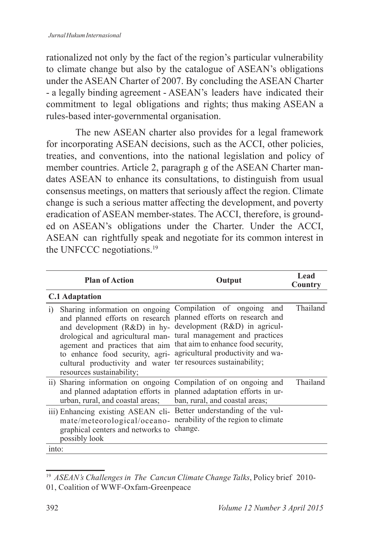rationalized not only by the fact of the region's particular vulnerability to climate change but also by the catalogue of ASEAN's obligations under the ASEAN Charter of 2007. By concluding the ASEAN Charter - a legally binding agreement - ASEAN's leaders have indicated their commitment to legal obligations and rights; thus making ASEAN a rules-based inter-governmental organisation.

 The new ASEAN charter also provides for a legal framework for incorporating ASEAN decisions, such as the ACCI, other policies, treaties, and conventions, into the national legislation and policy of member countries. Article 2, paragraph g of the ASEAN Charter mandates ASEAN to enhance its consultations, to distinguish from usual consensus meetings, on matters that seriously affect the region. Climate change is such a serious matter affecting the development, and poverty eradication of ASEAN member-states. The ACCI, therefore, is grounded on ASEAN's obligations under the Charter. Under the ACCI, ASEAN can rightfully speak and negotiate for its common interest in the UNFCCC negotiations.<sup>19</sup>

| <b>Plan of Action</b>                                                                                                                                                                                                                                                                                                                                                                                      | Output                                                                                                           | Lead<br>Country |
|------------------------------------------------------------------------------------------------------------------------------------------------------------------------------------------------------------------------------------------------------------------------------------------------------------------------------------------------------------------------------------------------------------|------------------------------------------------------------------------------------------------------------------|-----------------|
| <b>C.1 Adaptation</b>                                                                                                                                                                                                                                                                                                                                                                                      |                                                                                                                  |                 |
| Sharing information on ongoing Compilation of ongoing<br>$\bar{1}$<br>and planned efforts on research planned efforts on research and<br>and development (R&D) in hy- development (R&D) in agricul-<br>drological and agricultural man-<br>agement and practices that aim<br>to enhance food security, agri-<br>cultural productivity and water ter resources sustainability;<br>resources sustainability; | and<br>tural management and practices<br>that aim to enhance food security,<br>agricultural productivity and wa- | Thailand        |
| ii) Sharing information on ongoing Compilation of on ongoing and<br>and planned adaptation efforts in planned adaptation efforts in ur-<br>urban, rural, and coastal areas; ban, rural, and coastal areas;                                                                                                                                                                                                 |                                                                                                                  | <b>Thailand</b> |
| iii) Enhancing existing ASEAN cli- Better understanding of the vul-<br>mate/meteorological/oceano- nerability of the region to climate<br>graphical centers and networks to<br>possibly look                                                                                                                                                                                                               | change.                                                                                                          |                 |
| into:                                                                                                                                                                                                                                                                                                                                                                                                      |                                                                                                                  |                 |

<sup>&</sup>lt;sup>19</sup> ASEAN's Challenges in The Cancun Climate Change Talks, Policy brief 2010-01, Coalition of WWF-Oxfam-Greenpeace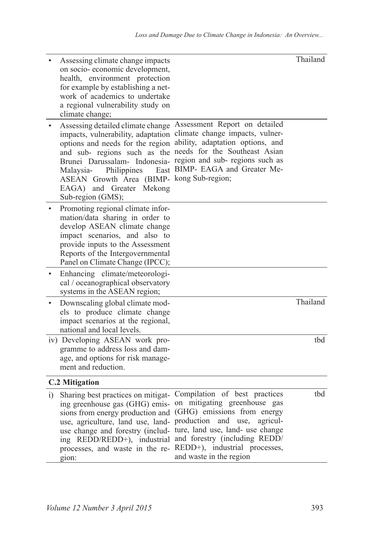| Assessing climate change impacts<br>on socio-economic development,<br>health, environment protection<br>for example by establishing a net-<br>work of academics to undertake<br>a regional vulnerability study on<br>climate change;                                                                                               |                                                                                                                                                                                                                                                                  | Thailand |
|------------------------------------------------------------------------------------------------------------------------------------------------------------------------------------------------------------------------------------------------------------------------------------------------------------------------------------|------------------------------------------------------------------------------------------------------------------------------------------------------------------------------------------------------------------------------------------------------------------|----------|
| impacts, vulnerability, adaptation climate change impacts, vulner-<br>options and needs for the region<br>East<br>Philippines<br>Malaysia-<br>ASEAN Growth Area (BIMP- kong Sub-region;<br>EAGA) and Greater Mekong<br>Sub-region (GMS);                                                                                           | Assessing detailed climate change Assessment Report on detailed<br>ability, adaptation options, and<br>and sub- regions such as the needs for the Southeast Asian<br>Brunei Darussalam- Indonesia- region and sub- regions such as<br>BIMP- EAGA and Greater Me- |          |
| Promoting regional climate infor-<br>mation/data sharing in order to<br>develop ASEAN climate change<br>impact scenarios, and also to<br>provide inputs to the Assessment<br>Reports of the Intergovernmental<br>Panel on Climate Change (IPCC);                                                                                   |                                                                                                                                                                                                                                                                  |          |
| Enhancing climate/meteorologi-<br>cal / oceanographical observatory<br>systems in the ASEAN region;                                                                                                                                                                                                                                |                                                                                                                                                                                                                                                                  |          |
| Downscaling global climate mod-<br>els to produce climate change<br>impact scenarios at the regional,<br>national and local levels.                                                                                                                                                                                                |                                                                                                                                                                                                                                                                  | Thailand |
| iv) Developing ASEAN work pro-<br>gramme to address loss and dam-<br>age, and options for risk manage-<br>ment and reduction.                                                                                                                                                                                                      |                                                                                                                                                                                                                                                                  | tbd      |
| <b>C.2 Mitigation</b>                                                                                                                                                                                                                                                                                                              |                                                                                                                                                                                                                                                                  |          |
| i) Sharing best practices on mitigat- Compilation of best practices<br>sions from energy production and (GHG) emissions from energy<br>use, agriculture, land use, land- production and use,<br>use change and forestry (includ- ture, land use, land- use change<br>processes, and waste in the re- REDD+), industrial processes, | ing greenhouse gas (GHG) emis- on mitigating greenhouse gas<br>agricul-<br>ing REDD/REDD+), industrial and forestry (including REDD/                                                                                                                             | tbd      |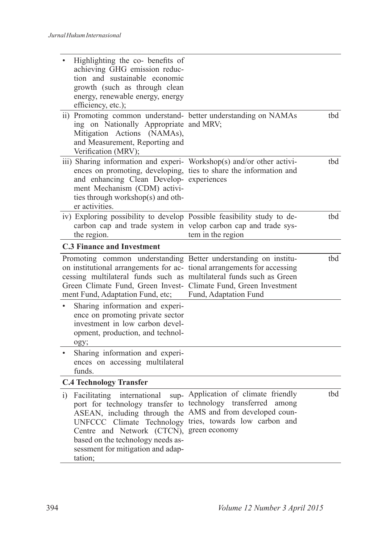|    | Highlighting the co- benefits of<br>achieving GHG emission reduc-<br>tion and sustainable economic<br>growth (such as through clean<br>energy, renewable energy, energy<br>efficiency, etc.);                                                                                                                             |                                                                                                                |     |
|----|---------------------------------------------------------------------------------------------------------------------------------------------------------------------------------------------------------------------------------------------------------------------------------------------------------------------------|----------------------------------------------------------------------------------------------------------------|-----|
|    | ii) Promoting common understand- better understanding on NAMAs<br>ing on Nationally Appropriate and MRV;<br>Mitigation Actions (NAMAs),<br>and Measurement, Reporting and<br>Verification (MRV);                                                                                                                          |                                                                                                                | thd |
|    | iii) Sharing information and experi- Workshop(s) and/or other activi-<br>ences on promoting, developing, ties to share the information and<br>and enhancing Clean Develop- experiences<br>ment Mechanism (CDM) activi-<br>ties through workshop(s) and oth-<br>er activities.                                             |                                                                                                                | thd |
|    | iv) Exploring possibility to develop Possible feasibility study to de-<br>carbon cap and trade system in velop carbon cap and trade sys-<br>the region.                                                                                                                                                                   | tem in the region                                                                                              | tbd |
|    | <b>C.3 Finance and Investment</b>                                                                                                                                                                                                                                                                                         |                                                                                                                |     |
|    | Promoting common understanding Better understanding on institu-<br>on institutional arrangements for ac- tional arrangements for accessing<br>cessing multilateral funds such as multilateral funds such as Green<br>Green Climate Fund, Green Invest- Climate Fund, Green Investment<br>ment Fund, Adaptation Fund, etc; | Fund, Adaptation Fund                                                                                          | tbd |
|    | Sharing information and experi-<br>ence on promoting private sector<br>investment in low carbon devel-<br>opment, production, and technol-<br>ogy;                                                                                                                                                                        |                                                                                                                |     |
|    | Sharing information and experi-<br>ences on accessing multilateral<br>funds.                                                                                                                                                                                                                                              |                                                                                                                |     |
|    | <b>C.4 Technology Transfer</b>                                                                                                                                                                                                                                                                                            |                                                                                                                |     |
| i) | Facilitating<br>international<br>port for technology transfer to technology transferred<br>ASEAN, including through the<br>UNFCCC Climate Technology<br>Centre and Network (CTCN), green economy<br>based on the technology needs as-<br>sessment for mitigation and adap-<br>tation;                                     | sup- Application of climate friendly<br>among<br>AMS and from developed coun-<br>tries, towards low carbon and | tbd |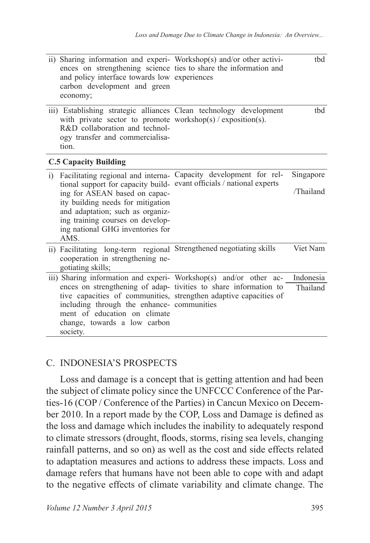|                              | ii) Sharing information and experi- Workshop(s) and/or other activi-<br>and policy interface towards low experiences<br>carbon development and green<br>economy;                                                | ences on strengthening science ties to share the information and                                                                     | tbd       |
|------------------------------|-----------------------------------------------------------------------------------------------------------------------------------------------------------------------------------------------------------------|--------------------------------------------------------------------------------------------------------------------------------------|-----------|
|                              | iii) Establishing strategic alliances Clean technology development<br>with private sector to promote workshop(s) / exposition(s).<br>R&D collaboration and technol-<br>ogy transfer and commercialisa-<br>tion. |                                                                                                                                      | thd       |
|                              | <b>C.5 Capacity Building</b>                                                                                                                                                                                    |                                                                                                                                      |           |
| $\left( \frac{1}{2} \right)$ | Facilitating regional and interna- Capacity development for rel-<br>tional support for capacity build- evant officials / national experts                                                                       | Singapore                                                                                                                            |           |
|                              | ing for ASEAN based on capac-<br>ity building needs for mitigation<br>and adaptation; such as organiz-<br>ing training courses on develop-<br>ing national GHG inventories for<br>AMS.                          |                                                                                                                                      | /Thailand |
|                              | ii) Facilitating long-term regional Strengthened negotiating skills<br>cooperation in strengthening ne-<br>gotiating skills;                                                                                    |                                                                                                                                      | Viet Nam  |
|                              |                                                                                                                                                                                                                 | iii) Sharing information and experi- Workshop(s) and/or other ac-                                                                    | Indonesia |
|                              | including through the enhance- communities<br>ment of education on climate<br>change, towards a low carbon<br>society.                                                                                          | ences on strengthening of adap-tivities to share information to<br>tive capacities of communities, strengthen adaptive capacities of | Thailand  |

### C. INDONESIA'S PROSPECTS

Loss and damage is a concept that is getting attention and had been the subject of climate policy since the UNFCCC Conference of the Parties-16 (COP / Conference of the Parties) in Cancun Mexico on December 2010. In a report made by the COP, Loss and Damage is defined as the loss and damage which includes the inability to adequately respond to climate stressors (drought, floods, storms, rising sea levels, changing rainfall patterns, and so on) as well as the cost and side effects related to adaptation measures and actions to address these impacts. Loss and damage refers that humans have not been able to cope with and adapt to the negative effects of climate variability and climate change. The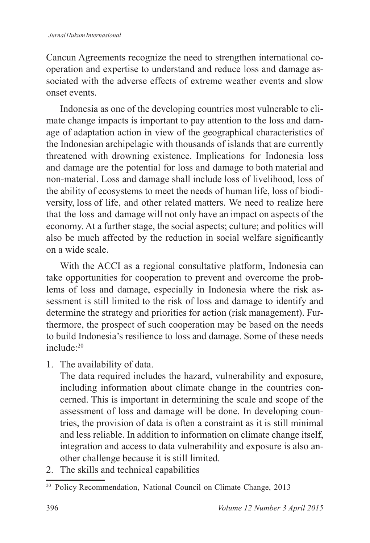Cancun Agreements recognize the need to strengthen international cooperation and expertise to understand and reduce loss and damage associated with the adverse effects of extreme weather events and slow onset events.

Indonesia as one of the developing countries most vulnerable to climate change impacts is important to pay attention to the loss and damage of adaptation action in view of the geographical characteristics of the Indonesian archipelagic with thousands of islands that are currently threatened with drowning existence. Implications for Indonesia loss and damage are the potential for loss and damage to both material and non-material. Loss and damage shall include loss of livelihood, loss of the ability of ecosystems to meet the needs of human life, loss of biodiversity, loss of life, and other related matters. We need to realize here that the loss and damage will not only have an impact on aspects of the economy. At a further stage, the social aspects; culture; and politics will also be much affected by the reduction in social welfare significantly on a wide scale.

With the ACCI as a regional consultative platform, Indonesia can take opportunities for cooperation to prevent and overcome the problems of loss and damage, especially in Indonesia where the risk assessment is still limited to the risk of loss and damage to identify and determine the strategy and priorities for action (risk management). Furthermore, the prospect of such cooperation may be based on the needs to build Indonesia's resilience to loss and damage. Some of these needs include<sup>-20</sup>

1. The availability of data.

 The data required includes the hazard, vulnerability and exposure, including information about climate change in the countries concerned. This is important in determining the scale and scope of the assessment of loss and damage will be done. In developing countries, the provision of data is often a constraint as it is still minimal and less reliable. In addition to information on climate change itself, integration and access to data vulnerability and exposure is also another challenge because it is still limited.

2. The skills and technical capabilities

<sup>&</sup>lt;sup>20</sup> Policy Recommendation, National Council on Climate Change, 2013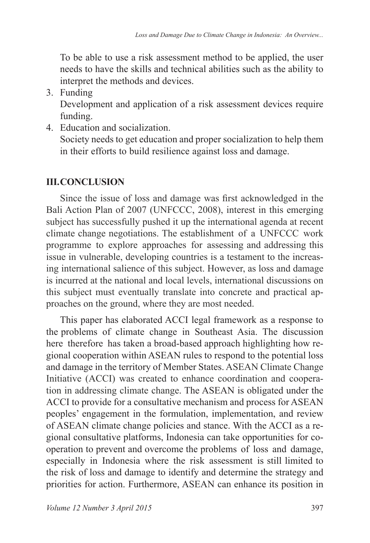To be able to use a risk assessment method to be applied, the user needs to have the skills and technical abilities such as the ability to interpret the methods and devices.

3. Funding

 Development and application of a risk assessment devices require funding.

4. Education and socialization.

 Society needs to get education and proper socialization to help them in their efforts to build resilience against loss and damage.

# **III. CONCLUSION**

Since the issue of loss and damage was first acknowledged in the Bali Action Plan of 2007 (UNFCCC, 2008), interest in this emerging subject has successfully pushed it up the international agenda at recent climate change negotiations. The establishment of a UNFCCC work programme to explore approaches for assessing and addressing this issue in vulnerable, developing countries is a testament to the increasing international salience of this subject. However, as loss and damage is incurred at the national and local levels, international discussions on this subject must eventually translate into concrete and practical approaches on the ground, where they are most needed.

This paper has elaborated ACCI legal framework as a response to the problems of climate change in Southeast Asia. The discussion here therefore has taken a broad-based approach highlighting how regional cooperation within ASEAN rules to respond to the potential loss and damage in the territory of Member States. ASEAN Climate Change Initiative (ACCI) was created to enhance coordination and cooperation in addressing climate change. The ASEAN is obligated under the ACCI to provide for a consultative mechanism and process for ASEAN peoples' engagement in the formulation, implementation, and review of ASEAN climate change policies and stance. With the ACCI as a regional consultative platforms, Indonesia can take opportunities for cooperation to prevent and overcome the problems of loss and damage, especially in Indonesia where the risk assessment is still limited to the risk of loss and damage to identify and determine the strategy and priorities for action. Furthermore, ASEAN can enhance its position in